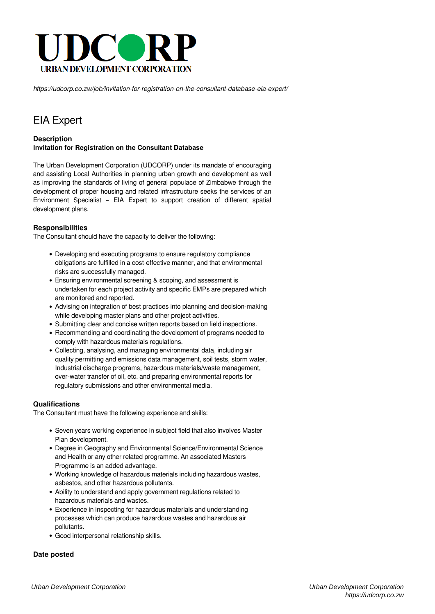

*https://udcorp.co.zw/job/invitation-for-registration-on-the-consultant-database-eia-expert/*

# EIA Expert

## **Description Invitation for Registration on the Consultant Database**

The Urban Development Corporation (UDCORP) under its mandate of encouraging and assisting Local Authorities in planning urban growth and development as well as improving the standards of living of general populace of Zimbabwe through the development of proper housing and related infrastructure seeks the services of an Environment Specialist – EIA Expert to support creation of different spatial development plans.

## **Responsibilities**

The Consultant should have the capacity to deliver the following:

- Developing and executing programs to ensure regulatory compliance obligations are fulfilled in a cost-effective manner, and that environmental risks are successfully managed.
- Ensuring environmental screening & scoping, and assessment is undertaken for each project activity and specific EMPs are prepared which are monitored and reported.
- Advising on integration of best practices into planning and decision-making while developing master plans and other project activities.
- Submitting clear and concise written reports based on field inspections.
- Recommending and coordinating the development of programs needed to comply with hazardous materials regulations.
- Collecting, analysing, and managing environmental data, including air quality permitting and emissions data management, soil tests, storm water, Industrial discharge programs, hazardous materials/waste management, over-water transfer of oil, etc. and preparing environmental reports for regulatory submissions and other environmental media.

#### **Qualifications**

The Consultant must have the following experience and skills:

- Seven years working experience in subject field that also involves Master Plan development.
- Degree in Geography and Environmental Science/Environmental Science and Health or any other related programme. An associated Masters Programme is an added advantage.
- Working knowledge of hazardous materials including hazardous wastes, asbestos, and other hazardous pollutants.
- Ability to understand and apply government regulations related to hazardous materials and wastes.
- Experience in inspecting for hazardous materials and understanding processes which can produce hazardous wastes and hazardous air pollutants.
- Good interpersonal relationship skills.

#### **Date posted**